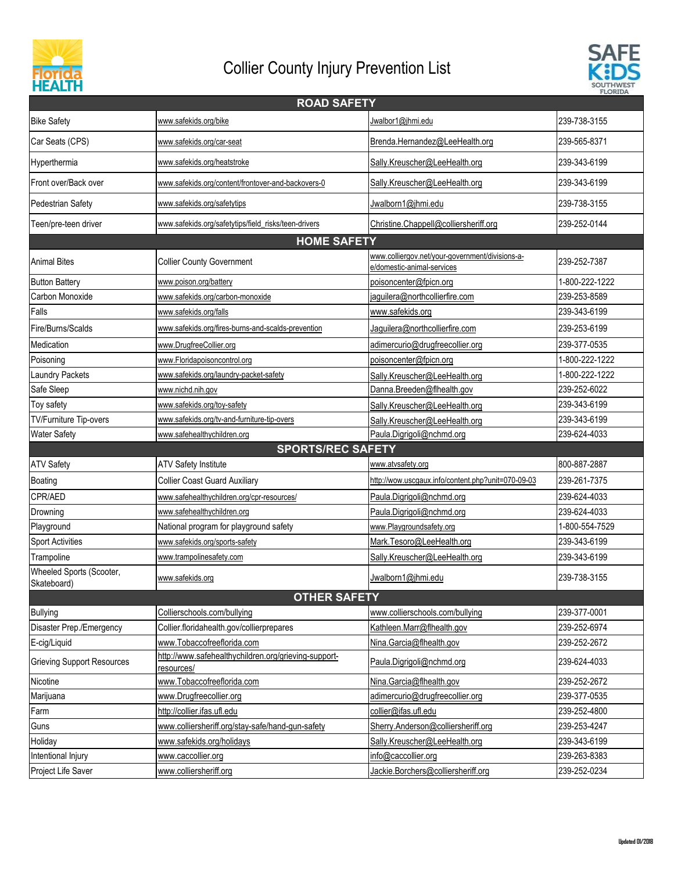



| <b>ROAD SAFETY</b>                      |                                                                    |                                                                               |                |  |
|-----------------------------------------|--------------------------------------------------------------------|-------------------------------------------------------------------------------|----------------|--|
| <b>Bike Safety</b>                      | www.safekids.org/bike                                              | Jwalbor1@jhmi.edu                                                             | 239-738-3155   |  |
| Car Seats (CPS)                         | www.safekids.org/car-seat                                          | Brenda.Hernandez@LeeHealth.org                                                | 239-565-8371   |  |
| Hyperthermia                            | www.safekids.org/heatstroke                                        | Sally.Kreuscher@LeeHealth.org                                                 | 239-343-6199   |  |
| Front over/Back over                    | www.safekids.org/content/frontover-and-backovers-0                 | Sally.Kreuscher@LeeHealth.org                                                 | 239-343-6199   |  |
| Pedestrian Safety                       | www.safekids.org/safetytips                                        | Jwalborn1@jhmi.edu                                                            | 239-738-3155   |  |
| Teen/pre-teen driver                    | www.safekids.org/safetytips/field risks/teen-drivers               | Christine.Chappell@colliersheriff.org                                         | 239-252-0144   |  |
| <b>HOME SAFETY</b>                      |                                                                    |                                                                               |                |  |
| <b>Animal Bites</b>                     | <b>Collier County Government</b>                                   | www.colliergov.net/your-government/divisions-a-<br>e/domestic-animal-services | 239-252-7387   |  |
| <b>Button Battery</b>                   | www.poison.org/battery                                             | poisoncenter@fpicn.org                                                        | 1-800-222-1222 |  |
| Carbon Monoxide                         | www.safekids.org/carbon-monoxide                                   | jaguilera@northcollierfire.com                                                | 239-253-8589   |  |
| Falls                                   | www.safekids.org/falls                                             | www.safekids.org                                                              | 239-343-6199   |  |
| Fire/Burns/Scalds                       | www.safekids.org/fires-burns-and-scalds-prevention                 | Jaguilera@northcollierfire.com                                                | 239-253-6199   |  |
| Medication                              | www.DrugfreeCollier.org                                            | adimercurio@drugfreecollier.org                                               | 239-377-0535   |  |
| Poisoning                               | www.Floridapoisoncontrol.org                                       | poisoncenter@fpicn.org                                                        | 1-800-222-1222 |  |
| Laundry Packets                         | www.safekids.org/laundry-packet-safety                             | Sally.Kreuscher@LeeHealth.org                                                 | 1-800-222-1222 |  |
| Safe Sleep                              | www.nichd.nih.gov                                                  | Danna.Breeden@flhealth.gov                                                    | 239-252-6022   |  |
| Toy safety                              | www.safekids.org/toy-safety                                        | Sally.Kreuscher@LeeHealth.org                                                 | 239-343-6199   |  |
| TV/Furniture Tip-overs                  | www.safekids.org/tv-and-furniture-tip-overs                        | Sally.Kreuscher@LeeHealth.org                                                 | 239-343-6199   |  |
| <b>Water Safety</b>                     | www.safehealthychildren.org                                        | Paula.Digrigoli@nchmd.org                                                     | 239-624-4033   |  |
|                                         | <b>SPORTS/REC SAFETY</b>                                           |                                                                               |                |  |
| <b>ATV Safety</b>                       | <b>ATV Safety Institute</b>                                        | www.atvsafety.org                                                             | 800-887-2887   |  |
| <b>Boating</b>                          | <b>Collier Coast Guard Auxiliary</b>                               | http://wow.uscgaux.info/content.php?unit=070-09-03                            | 239-261-7375   |  |
| CPR/AED                                 | www.safehealthychildren.org/cpr-resources/                         | Paula.Digrigoli@nchmd.org                                                     | 239-624-4033   |  |
| Drowning                                | www.safehealthychildren.org                                        | Paula.Digrigoli@nchmd.org                                                     | 239-624-4033   |  |
| Playground                              | National program for playground safety                             | www.Playgroundsafety.org                                                      | 1-800-554-7529 |  |
| <b>Sport Activities</b>                 | www.safekids.org/sports-safety                                     | Mark.Tesoro@LeeHealth.org                                                     | 239-343-6199   |  |
| Trampoline                              | www.trampolinesafety.com                                           | Sally.Kreuscher@LeeHealth.org                                                 | 239-343-6199   |  |
| Wheeled Sports (Scooter,<br>Skateboard) | www.safekids.org                                                   | Jwalborn1@jhmi.edu                                                            | 239-738-3155   |  |
|                                         | <b>OTHER SAFETY</b>                                                |                                                                               |                |  |
| <b>Bullying</b>                         | Collierschools.com/bullying                                        | www.collierschools.com/bullying                                               | 239-377-0001   |  |
| Disaster Prep./Emergency                | Collier.floridahealth.gov/collierprepares                          | Kathleen.Marr@flhealth.gov                                                    | 239-252-6974   |  |
| E-cig/Liquid                            | www.Tobaccofreeflorida.com                                         | Nina.Garcia@flhealth.gov                                                      | 239-252-2672   |  |
| <b>Grieving Support Resources</b>       | http://www.safehealthychildren.org/grieving-support-<br>resources/ | Paula.Digrigoli@nchmd.org                                                     | 239-624-4033   |  |
| Nicotine                                | www.Tobaccofreeflorida.com                                         | Nina.Garcia@flhealth.gov                                                      | 239-252-2672   |  |
| Marijuana                               | www.Drugfreecollier.org                                            | adimercurio@drugfreecollier.org                                               | 239-377-0535   |  |
| Farm                                    | http://collier.ifas.ufl.edu                                        | collier@ifas.ufl.edu                                                          | 239-252-4800   |  |
| Guns                                    | www.colliersheriff.org/stay-safe/hand-gun-safety                   | Sherry.Anderson@colliersheriff.org                                            | 239-253-4247   |  |
| Holiday                                 | www.safekids.org/holidays                                          | Sally.Kreuscher@LeeHealth.org                                                 | 239-343-6199   |  |
| Intentional Injury                      | www.caccollier.org                                                 | info@caccollier.org                                                           | 239-263-8383   |  |
| <b>Project Life Saver</b>               | www.colliersheriff.org                                             | Jackie.Borchers@colliersheriff.org                                            | 239-252-0234   |  |